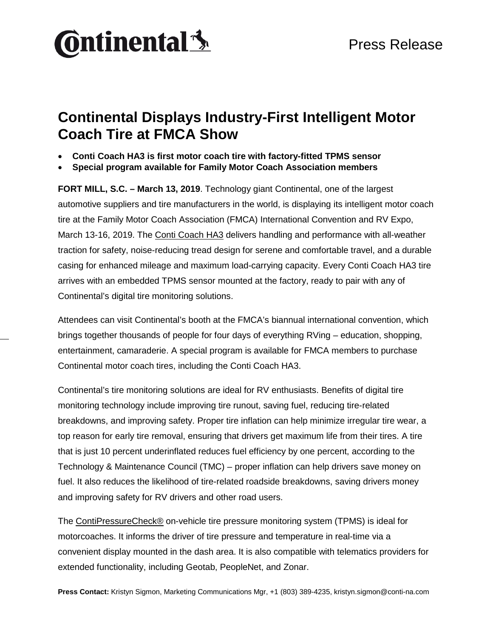

## **Continental Displays Industry-First Intelligent Motor Coach Tire at FMCA Show**

- **Conti Coach HA3 is first motor coach tire with factory-fitted TPMS sensor**
- **Special program available for Family Motor Coach Association members**

**FORT MILL, S.C. – March 13, 2019**. Technology giant Continental, one of the largest automotive suppliers and tire manufacturers in the world, is displaying its intelligent motor coach tire at the Family Motor Coach Association (FMCA) International Convention and RV Expo, March 13-16, 2019. The [Conti Coach HA3](https://www.continental-truck.com/truck/products/tires/people/ccha3) delivers handling and performance with all-weather traction for safety, noise-reducing tread design for serene and comfortable travel, and a durable casing for enhanced mileage and maximum load-carrying capacity. Every Conti Coach HA3 tire arrives with an embedded TPMS sensor mounted at the factory, ready to pair with any of Continental's digital tire monitoring solutions.

Attendees can visit Continental's booth at the FMCA's biannual international convention, which brings together thousands of people for four days of everything RVing – education, shopping, entertainment, camaraderie. A special program is available for FMCA members to purchase Continental motor coach tires, including the Conti Coach HA3.

Continental's tire monitoring solutions are ideal for RV enthusiasts. Benefits of digital tire monitoring technology include improving tire runout, saving fuel, reducing tire-related breakdowns, and improving safety. Proper tire inflation can help minimize irregular tire wear, a top reason for early tire removal, ensuring that drivers get maximum life from their tires. A tire that is just 10 percent underinflated reduces fuel efficiency by one percent, according to the Technology & Maintenance Council (TMC) – proper inflation can help drivers save money on fuel. It also reduces the likelihood of tire-related roadside breakdowns, saving drivers money and improving safety for RV drivers and other road users.

The [ContiPressureCheck®](https://www.continental-truck.com/truck/products/overview-product-lines/contipressurecheck) on-vehicle tire pressure monitoring system (TPMS) is ideal for motorcoaches. It informs the driver of tire pressure and temperature in real-time via a convenient display mounted in the dash area. It is also compatible with telematics providers for extended functionality, including Geotab, PeopleNet, and Zonar.

**Press Contact:** Kristyn Sigmon, Marketing Communications Mgr, +1 (803) 389-4235, kristyn.sigmon@conti-na.com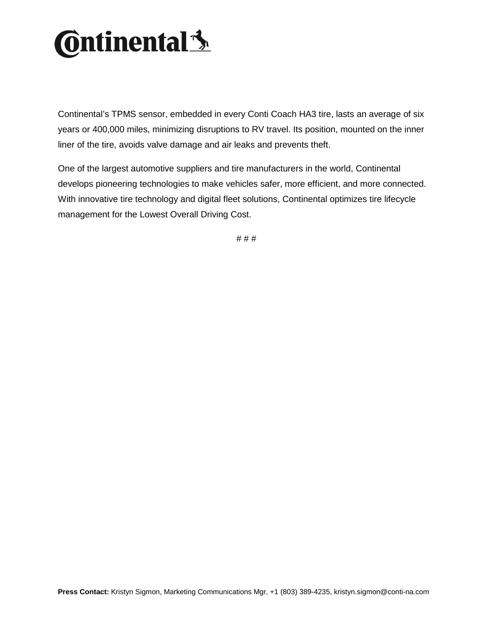

Continental's TPMS sensor, embedded in every Conti Coach HA3 tire, lasts an average of six years or 400,000 miles, minimizing disruptions to RV travel. Its position, mounted on the inner liner of the tire, avoids valve damage and air leaks and prevents theft.

One of the largest automotive suppliers and tire manufacturers in the world, Continental develops pioneering technologies to make vehicles safer, more efficient, and more connected. With innovative tire technology and digital fleet solutions, Continental optimizes tire lifecycle management for the Lowest Overall Driving Cost.

# # #